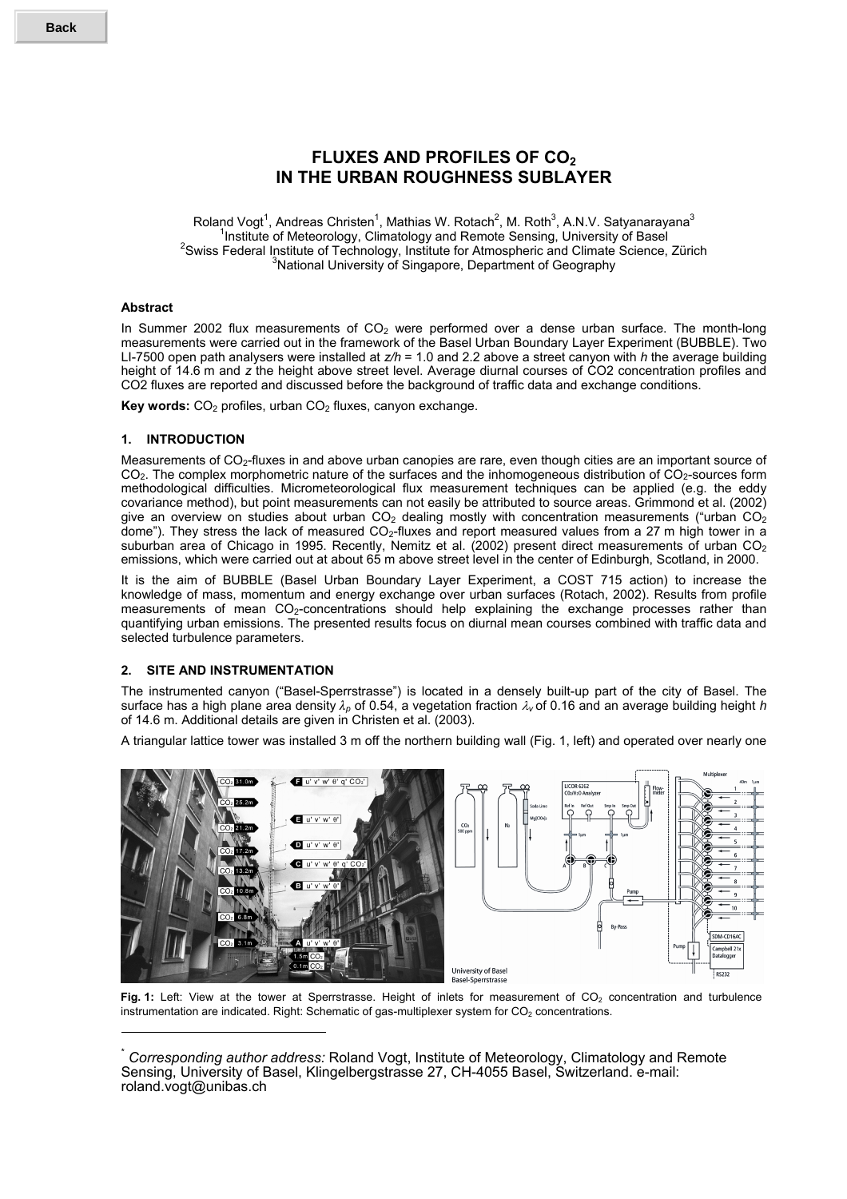# **FLUXES AND PROFILES OF CO<sub>2</sub> IN THE URBAN ROUGHNESS SUBLAYER**

Roland Vogt<sup>1</sup>, Andreas Christen<sup>1</sup>, Mathias W. Rotach<sup>2</sup>, M. Roth<sup>3</sup>, A.N.V. Satyanarayana<sup>3</sup> <sup>1</sup> Institute of Meteorology, Climatology and Remote Sensing, University of Basel<br><sup>2</sup> Swing Eodoral Institute of Technology, Institute for Atmospheric and Climate Science <sup>2</sup> Swiss Federal Institute of Technology, Institute for Atmospheric and Climate Science, Zürich <sup>3</sup>National University of Singapore, Department of Geography

## **Abstract**

l

In Summer 2002 flux measurements of CO<sub>2</sub> were performed over a dense urban surface. The month-long measurements were carried out in the framework of the Basel Urban Boundary Layer Experiment (BUBBLE). Two LI-7500 open path analysers were installed at *z/h* = 1.0 and 2.2 above a street canyon with *h* the average building height of 14.6 m and z the height above street level. Average diurnal courses of CO2 concentration profiles and CO2 fluxes are reported and discussed before the background of traffic data and exchange conditions.

**Key words:** CO<sub>2</sub> profiles, urban CO<sub>2</sub> fluxes, canyon exchange.

### **1. INTRODUCTION**

Measurements of CO<sub>2</sub>-fluxes in and above urban canopies are rare, even though cities are an important source of CO<sub>2</sub>. The complex morphometric nature of the surfaces and the inhomogeneous distribution of CO<sub>2</sub>-sources form methodological difficulties. Micrometeorological flux measurement techniques can be applied (e.g. the eddy covariance method), but point measurements can not easily be attributed to source areas. Grimmond et al. (2002) give an overview on studies about urban  $CO<sub>2</sub>$  dealing mostly with concentration measurements ("urban  $CO<sub>2</sub>$ dome"). They stress the lack of measured CO2-fluxes and report measured values from a 27 m high tower in a suburban area of Chicago in 1995. Recently, Nemitz et al. (2002) present direct measurements of urban CO<sub>2</sub> emissions, which were carried out at about 65 m above street level in the center of Edinburgh, Scotland, in 2000.

It is the aim of BUBBLE (Basel Urban Boundary Layer Experiment, a COST 715 action) to increase the knowledge of mass, momentum and energy exchange over urban surfaces (Rotach, 2002). Results from profile measurements of mean CO<sub>2</sub>-concentrations should help explaining the exchange processes rather than quantifying urban emissions. The presented results focus on diurnal mean courses combined with traffic data and selected turbulence parameters.

## **2. SITE AND INSTRUMENTATION**

The instrumented canyon ("Basel-Sperrstrasse") is located in a densely built-up part of the city of Basel. The surface has a high plane area density λ*p* of 0.54, a vegetation fraction λ*<sup>v</sup>* of 0.16 and an average building height *h* of 14.6 m. Additional details are given in Christen et al. (2003).

A triangular lattice tower was installed 3 m off the northern building wall (Fig. 1, left) and operated over nearly one



Fig. 1: Left: View at the tower at Sperrstrasse. Height of inlets for measurement of CO<sub>2</sub> concentration and turbulence instrumentation are indicated. Right: Schematic of gas-multiplexer system for  $CO<sub>2</sub>$  concentrations.

<sup>\*</sup> *Corresponding author address:* Roland Vogt, Institute of Meteorology, Climatology and Remote Sensing, University of Basel, Klingelbergstrasse 27, CH-4055 Basel, Switzerland. e-mail: roland.vogt@unibas.ch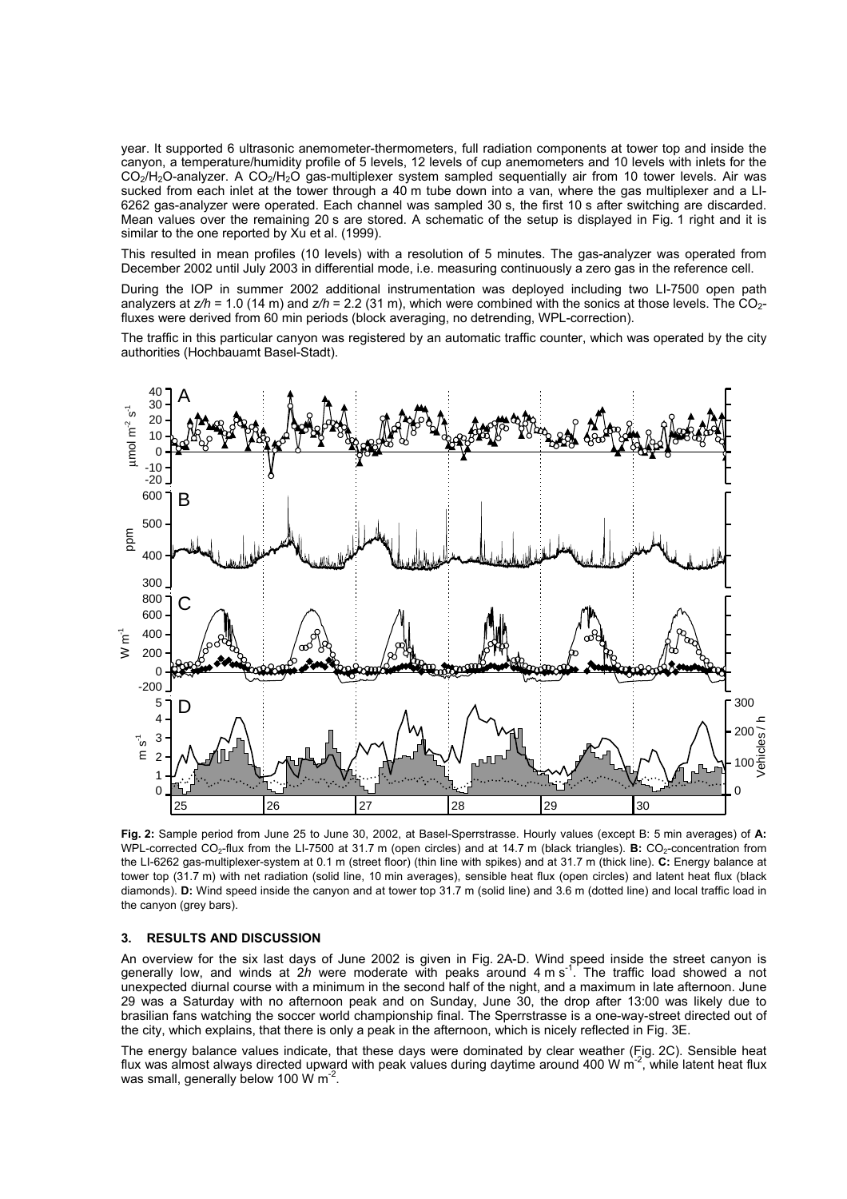year. It supported 6 ultrasonic anemometer-thermometers, full radiation components at tower top and inside the canyon, a temperature/humidity profile of 5 levels, 12 levels of cup anemometers and 10 levels with inlets for the  $CO<sub>2</sub>/H<sub>2</sub>O-$ analyzer. A  $CO<sub>2</sub>/H<sub>2</sub>O$  gas-multiplexer system sampled sequentially air from 10 tower levels. Air was sucked from each inlet at the tower through a 40 m tube down into a van, where the gas multiplexer and a LI-6262 gas-analyzer were operated. Each channel was sampled 30 s, the first 10 s after switching are discarded. Mean values over the remaining 20 s are stored. A schematic of the setup is displayed in Fig. 1 right and it is similar to the one reported by Xu et al. (1999).

This resulted in mean profiles (10 levels) with a resolution of 5 minutes. The gas-analyzer was operated from December 2002 until July 2003 in differential mode, i.e. measuring continuously a zero gas in the reference cell.

During the IOP in summer 2002 additional instrumentation was deployed including two LI-7500 open path analyzers at  $z/h = 1.0$  (14 m) and  $z/h = 2.2$  (31 m), which were combined with the sonics at those levels. The CO<sub>2</sub>fluxes were derived from 60 min periods (block averaging, no detrending, WPL-correction).

The traffic in this particular canyon was registered by an automatic traffic counter, which was operated by the city authorities (Hochbauamt Basel-Stadt).



**Fig. 2:** Sample period from June 25 to June 30, 2002, at Basel-Sperrstrasse. Hourly values (except B: 5 min averages) of **A:** WPL-corrected CO<sub>2</sub>-flux from the LI-7500 at 31.7 m (open circles) and at 14.7 m (black triangles). **B:** CO<sub>2</sub>-concentration from the LI-6262 gas-multiplexer-system at 0.1 m (street floor) (thin line with spikes) and at 31.7 m (thick line). **C:** Energy balance at tower top (31.7 m) with net radiation (solid line, 10 min averages), sensible heat flux (open circles) and latent heat flux (black diamonds). **D:** Wind speed inside the canyon and at tower top 31.7 m (solid line) and 3.6 m (dotted line) and local traffic load in the canyon (grey bars).

#### **3. RESULTS AND DISCUSSION**

An overview for the six last days of June 2002 is given in Fig. 2A-D. Wind speed inside the street canyon is generally low, and winds at 2h were moderate with peaks around 4 m s<sup>-1</sup>. The traffic load showed a not unexpected diurnal course with a minimum in the second half of the night, and a maximum in late afternoon. June 29 was a Saturday with no afternoon peak and on Sunday, June 30, the drop after 13:00 was likely due to brasilian fans watching the soccer world championship final. The Sperrstrasse is a one-way-street directed out of the city, which explains, that there is only a peak in the afternoon, which is nicely reflected in Fig. 3E.

The energy balance values indicate, that these days were dominated by clear weather (Fig. 2C). Sensible heat flux was almost always directed upward with peak values during daytime around 400 W  $\text{m}^2$ , while latent heat flux was small, generally below 100 W m<sup>-2</sup>.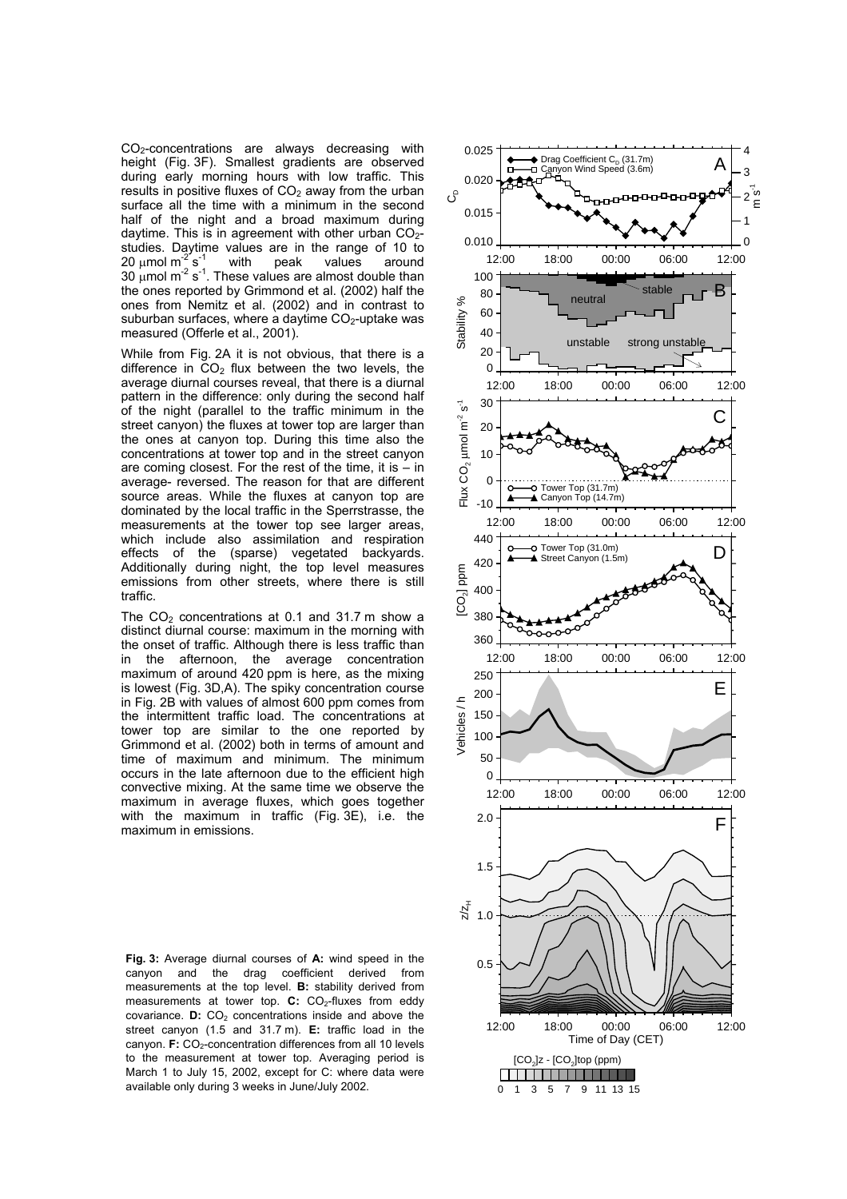CO2-concentrations are always decreasing with height (Fig. 3F). Smallest gradients are observed during early morning hours with low traffic. This results in positive fluxes of  $CO<sub>2</sub>$  away from the urban surface all the time with a minimum in the second half of the night and a broad maximum during daytime. This is in agreement with other urban  $CO<sub>2</sub>$ studies. Daytime values are in the range of 10 to 20  $\mu$ mol m<sup>2</sup> s<sup>-1</sup> with peak values around 20  $\mu$ mol m<sup>-2'</sup>s<sup>-1</sup> with peak values around 30  $\mu$ mol m<sup>-2</sup> s<sup>-1</sup>. These values are almost double than the ones reported by Grimmond et al. (2002) half the ones from Nemitz et al. (2002) and in contrast to suburban surfaces, where a daytime  $CO<sub>2</sub>$ -uptake was measured (Offerle et al., 2001).

While from Fig. 2A it is not obvious, that there is a difference in  $CO<sub>2</sub>$  flux between the two levels, the average diurnal courses reveal, that there is a diurnal pattern in the difference: only during the second half of the night (parallel to the traffic minimum in the street canyon) the fluxes at tower top are larger than the ones at canyon top. During this time also the concentrations at tower top and in the street canyon are coming closest. For the rest of the time, it is  $-$  in average- reversed. The reason for that are different source areas. While the fluxes at canyon top are dominated by the local traffic in the Sperrstrasse, the measurements at the tower top see larger areas, which include also assimilation and respiration effects of the (sparse) vegetated backyards. Additionally during night, the top level measures emissions from other streets, where there is still traffic.

The  $CO<sub>2</sub>$  concentrations at 0.1 and 31.7 m show a distinct diurnal course: maximum in the morning with the onset of traffic. Although there is less traffic than in the afternoon, the average concentration maximum of around 420 ppm is here, as the mixing is lowest (Fig. 3D,A). The spiky concentration course in Fig. 2B with values of almost 600 ppm comes from the intermittent traffic load. The concentrations at tower top are similar to the one reported by Grimmond et al. (2002) both in terms of amount and time of maximum and minimum. The minimum occurs in the late afternoon due to the efficient high convective mixing. At the same time we observe the maximum in average fluxes, which goes together with the maximum in traffic (Fig. 3E), i.e. the maximum in emissions.

**Fig. 3:** Average diurnal courses of **A:** wind speed in the canyon and the drag coefficient derived from measurements at the top level. **B:** stability derived from measurements at tower top. **C:** CO<sub>2</sub>-fluxes from eddy covariance. **D:** CO<sub>2</sub> concentrations inside and above the street canyon (1.5 and 31.7 m). **E:** traffic load in the canyon. **F:** CO<sub>2</sub>-concentration differences from all 10 levels to the measurement at tower top. Averaging period is March 1 to July 15, 2002, except for C: where data were available only during 3 weeks in June/July 2002.